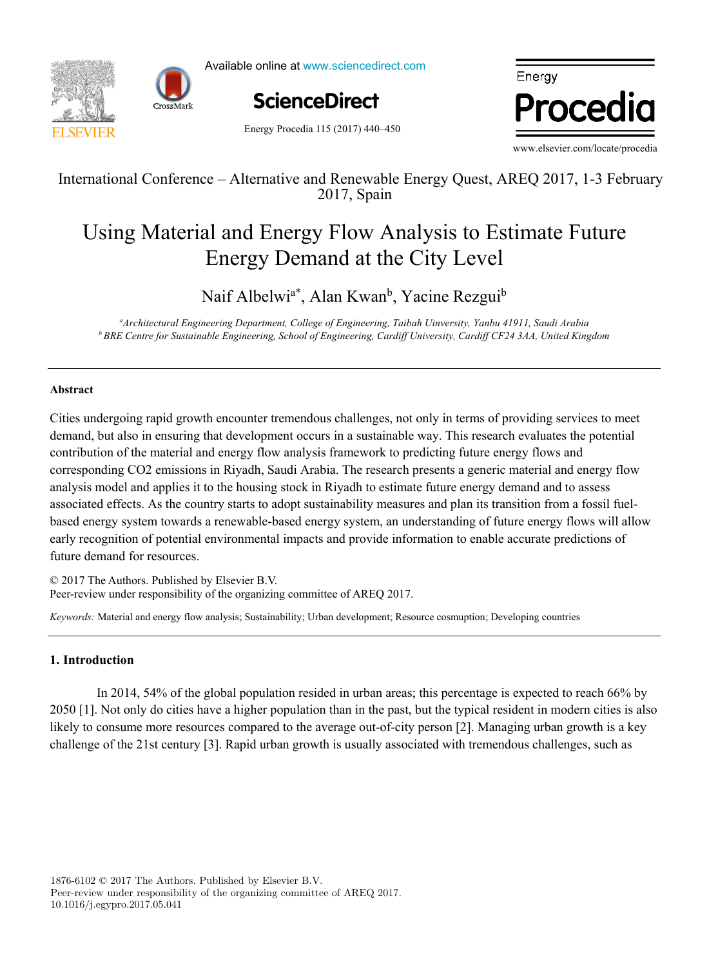



Available online at www.sciencedirect.com



Energy Procedia 115 (2017) 440–450



www.elsevier.com/locate/procedia

# $I = \frac{1}{2}$ International Conference – Alternative and Renewable Energy Quest, AREQ 2017, 1-3 February 2017, Spain

#### 1aterial and Energy Flow Analysis to Estimate F  $\text{Lnc}(S)$  Demand-at the  $\text{Cry}$  Lever Using Material and Energy Flow Analysis to Estimate Future Energy Demand at the City Level Using Material and Energy Flow Analysis to Estimate Future Energy Demand at the City Level

Naif Albelwi<sup>a\*</sup>, Alan Kwan<sup>b</sup>, Yacine Rezgui<sup>b</sup>  $N(AH)$ ,  $\mathbf{A}$   $\mathbf{A}$   $\mathbf{A}$   $\mathbf{A}$   $\mathbf{A}$   $\mathbf{A}$   $\mathbf{A}$   $\mathbf{A}$   $\mathbf{A}$   $\mathbf{A}$   $\mathbf{A}$   $\mathbf{A}$   $\mathbf{A}$   $\mathbf{A}$   $\mathbf{A}$   $\mathbf{A}$   $\mathbf{A}$   $\mathbf{A}$   $\mathbf{A}$   $\mathbf{A}$   $\mathbf{A}$   $\mathbf{A}$   $\mathbf{A}$   $\mathbf{A$ Naif Albelwi<sup>a\*</sup>, Alan Kwan<sup>b</sup>, Yacine Rezgui<sup>b</sup>

Architectural Engineering Department, College of Engineering, Taibah Uinversity, Yanbu 41911, Saudi Arabia<br>BRE Centre for Sustainable Engineering, School of Engineering, Cardiff University, Cardiff CF24 3AA, United Kingdom architectural Engineering Department, College of Engineering, Taibah Uinversity, Yanbu 41911, Saudi Arabia

*IN+ Center for Innovation, Technology and Policy Research - Instituto Superior Técnico, Av. Rovisco Pais 1, 1049-001 Lisbon, Portugal*

## **Abstract**

demand, but also in ensuring that development occurs in a sustainable way. This research evaluates the potential corresponding CO2 emissions in Riyadh, Saudi Arabia. The research presents a generic material and energy flow analysis model and applies it to the housing stock in Riyadh to estimate future energy demand and to assess associated effects. As the country starts to adopt sustainability measures and plan its transition from a fossil fuelprodonging the investment return period. based energy system towards a renewable-based energy system, an understanding of future energy flows will allow early recognition of potential environmental impacts and provide information to enable accurate predictions of future demand for resources. The variance weather scenarios (low, medium, high) and three district in  $\mathbf{r}$ Cities undergoing rapid growth encounter tremendous challenges, not only in terms of providing services to meet contribution of the material and energy flow analysis framework to predicting future energy flows and

© 2017 The Authors. Published by Elsevier B.V.  $\sigma$  2017 in Audiois, rudinalisty discrete by  $\sigma$  denotes the authors.  $\text{Cer-CTC}$  when it is considered, the material behavior considered, the material behavior considered, the material behavior considered, the material behavior of  $\text{Cer-CTC}$  $\degree$  2017 The Authors. Fuonsibility of the organizing committee of AREQ 2017. Peer-review under responsibility of the organizing committee of AREQ 2017. Peer-review under responsibility of the organizing committee of AREQ 2017.

Keywords: Material and energy flow analysis; Sustainability; Urban development; Resource cosmuption; Developing countries

# decrease in the number of heating hours of 22-139h during the heating season (depending on the combination of weather and **1. Introduction**

In 2014, 54% of the global population resided in urban areas; this percentage is expected to reach 66% by 2050 [1]. Not only do cities have a higher population han in the past, but the typical resident in modern cities is also likely to consume more resources compared to the average out-of-city person [2]. Managing urban growth is a key challenge of the 21st century [3]. Rapid urban growth is usually associated with tremendous challenges, such as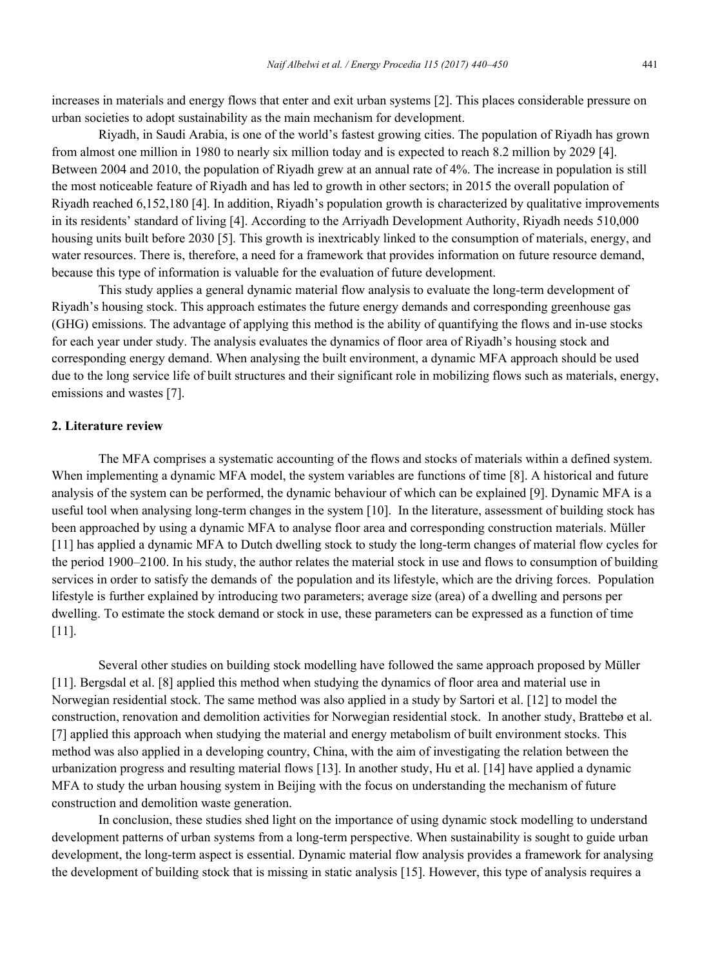increases in materials and energy flows that enter and exit urban systems [2]. This places considerable pressure on urban societies to adopt sustainability as the main mechanism for development.

 Riyadh, in Saudi Arabia, is one of the world's fastest growing cities. The population of Riyadh has grown from almost one million in 1980 to nearly six million today and is expected to reach 8.2 million by 2029 [4]. Between 2004 and 2010, the population of Riyadh grew at an annual rate of 4%. The increase in population is still the most noticeable feature of Riyadh and has led to growth in other sectors; in 2015 the overall population of Riyadh reached 6,152,180 [4]. In addition, Riyadh's population growth is characterized by qualitative improvements in its residents' standard of living [4]. According to the Arriyadh Development Authority, Riyadh needs 510,000 housing units built before 2030 [5]. This growth is inextricably linked to the consumption of materials, energy, and water resources. There is, therefore, a need for a framework that provides information on future resource demand, because this type of information is valuable for the evaluation of future development.

 This study applies a general dynamic material flow analysis to evaluate the long-term development of Riyadh's housing stock. This approach estimates the future energy demands and corresponding greenhouse gas (GHG) emissions. The advantage of applying this method is the ability of quantifying the flows and in-use stocks for each year under study. The analysis evaluates the dynamics of floor area of Riyadh's housing stock and corresponding energy demand. When analysing the built environment, a dynamic MFA approach should be used due to the long service life of built structures and their significant role in mobilizing flows such as materials, energy, emissions and wastes [7].

### **2. Literature review**

The MFA comprises a systematic accounting of the flows and stocks of materials within a defined system. When implementing a dynamic MFA model, the system variables are functions of time [8]. A historical and future analysis of the system can be performed, the dynamic behaviour of which can be explained [9]. Dynamic MFA is a useful tool when analysing long-term changes in the system [10]. In the literature, assessment of building stock has been approached by using a dynamic MFA to analyse floor area and corresponding construction materials. Müller [11] has applied a dynamic MFA to Dutch dwelling stock to study the long-term changes of material flow cycles for the period 1900–2100. In his study, the author relates the material stock in use and flows to consumption of building services in order to satisfy the demands of the population and its lifestyle, which are the driving forces. Population lifestyle is further explained by introducing two parameters; average size (area) of a dwelling and persons per dwelling. To estimate the stock demand or stock in use, these parameters can be expressed as a function of time [11].

Several other studies on building stock modelling have followed the same approach proposed by Müller [11]. Bergsdal et al. [8] applied this method when studying the dynamics of floor area and material use in Norwegian residential stock. The same method was also applied in a study by Sartori et al. [12] to model the construction, renovation and demolition activities for Norwegian residential stock. In another study, Brattebø et al. [7] applied this approach when studying the material and energy metabolism of built environment stocks. This method was also applied in a developing country, China, with the aim of investigating the relation between the urbanization progress and resulting material flows [13]. In another study, Hu et al. [14] have applied a dynamic MFA to study the urban housing system in Beijing with the focus on understanding the mechanism of future construction and demolition waste generation.

In conclusion, these studies shed light on the importance of using dynamic stock modelling to understand development patterns of urban systems from a long-term perspective. When sustainability is sought to guide urban development, the long-term aspect is essential. Dynamic material flow analysis provides a framework for analysing the development of building stock that is missing in static analysis [15]. However, this type of analysis requires a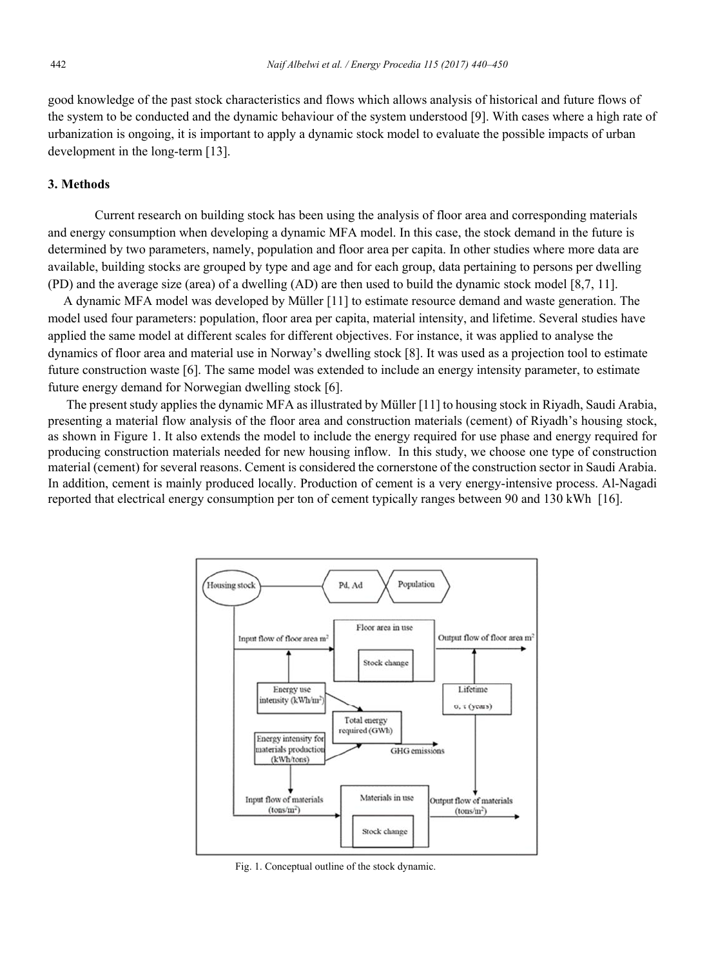good knowledge of the past stock characteristics and flows which allows analysis of historical and future flows of the system to be conducted and the dynamic behaviour of the system understood [9]. With cases where a high rate of urbanization is ongoing, it is important to apply a dynamic stock model to evaluate the possible impacts of urban development in the long-term [13].

### **3. Methods**

Current research on building stock has been using the analysis of floor area and corresponding materials and energy consumption when developing a dynamic MFA model. In this case, the stock demand in the future is determined by two parameters, namely, population and floor area per capita. In other studies where more data are available, building stocks are grouped by type and age and for each group, data pertaining to persons per dwelling (PD) and the average size (area) of a dwelling (AD) are then used to build the dynamic stock model [8,7, 11].

A dynamic MFA model was developed by Müller [11] to estimate resource demand and waste generation. The model used four parameters: population, floor area per capita, material intensity, and lifetime. Several studies have applied the same model at different scales for different objectives. For instance, it was applied to analyse the dynamics of floor area and material use in Norway's dwelling stock [8]. It was used as a projection tool to estimate future construction waste [6]. The same model was extended to include an energy intensity parameter, to estimate future energy demand for Norwegian dwelling stock [6].

The present study applies the dynamic MFA as illustrated by Müller [11] to housing stock in Riyadh, Saudi Arabia, presenting a material flow analysis of the floor area and construction materials (cement) of Riyadh's housing stock, as shown in Figure 1. It also extends the model to include the energy required for use phase and energy required for producing construction materials needed for new housing inflow. In this study, we choose one type of construction material (cement) for several reasons. Cement is considered the cornerstone of the construction sector in Saudi Arabia. In addition, cement is mainly produced locally. Production of cement is a very energy-intensive process. Al-Nagadi reported that electrical energy consumption per ton of cement typically ranges between 90 and 130 kWh [16].



Fig. 1. Conceptual outline of the stock dynamic.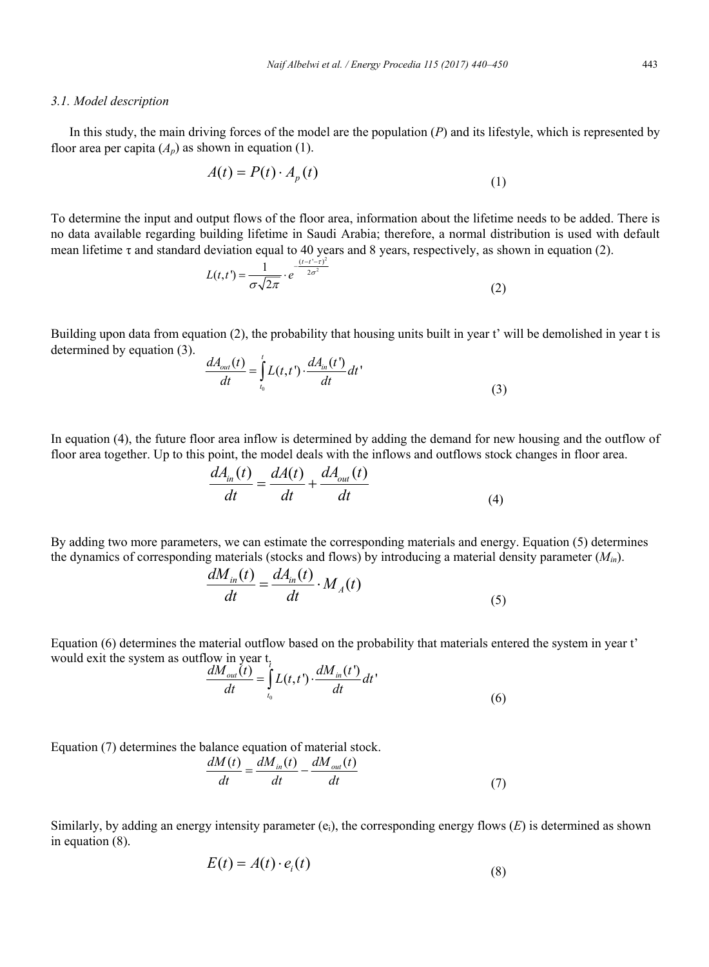#### *3.1. Model description*

In this study, the main driving forces of the model are the population (*P*) and its lifestyle, which is represented by floor area per capita  $(A_p)$  as shown in equation (1).

$$
A(t) = P(t) \cdot A_p(t)
$$
\n(1)

To determine the input and output flows of the floor area, information about the lifetime needs to be added. There is no data available regarding building lifetime in Saudi Arabia; therefore, a normal distribution is used with default mean lifetime τ and standard deviation equal to 40 years and 8 years, respectively, as shown in equation (2).

$$
L(t,t') = \frac{1}{\sigma\sqrt{2\pi}} \cdot e^{-\frac{(t-t'-\tau)^2}{2\sigma^2}}
$$
 (2)

Building upon data from equation (2), the probability that housing units built in year t' will be demolished in year t is determined by equation (3).

$$
\frac{dA_{out}(t)}{dt} = \int_{t_0}^t L(t, t') \cdot \frac{dA_{in}(t')}{dt} dt'
$$
\n(3)

In equation (4), the future floor area inflow is determined by adding the demand for new housing and the outflow of floor area together. Up to this point, the model deals with the inflows and outflows stock changes in floor area.

$$
\frac{dA_{in}(t)}{dt} = \frac{dA(t)}{dt} + \frac{dA_{out}(t)}{dt}
$$
\n(4)

By adding two more parameters, we can estimate the corresponding materials and energy. Equation (5) determines the dynamics of corresponding materials (stocks and flows) by introducing a material density parameter (*Min*).

$$
\frac{dM_{in}(t)}{dt} = \frac{dA_{in}(t)}{dt} \cdot M_A(t)
$$
\n(5)

Equation (6) determines the material outflow based on the probability that materials entered the system in year t' would exit the system as outflow in year  $t_i$ 

$$
\frac{dM_{out}(t)}{dt} = \int_{t_0}^{t} L(t, t') \cdot \frac{dM_{in}(t')}{dt} dt'
$$
\n(6)

Equation (7) determines the balance equation of material stock.

$$
\frac{dM(t)}{dt} = \frac{dM_{in}(t)}{dt} - \frac{dM_{out}(t)}{dt}
$$
\n(7)

Similarly, by adding an energy intensity parameter  $(e_i)$ , the corresponding energy flows  $(E)$  is determined as shown in equation (8).

$$
E(t) = A(t) \cdot e_i(t)
$$
\n(8)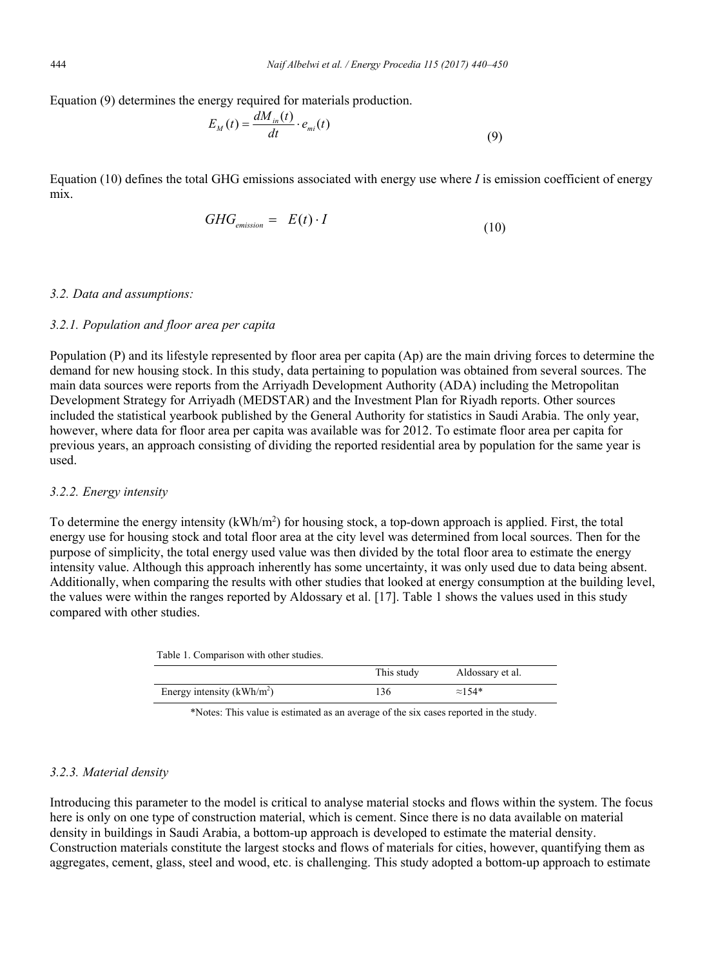Equation (9) determines the energy required for materials production.

$$
E_M(t) = \frac{dM_{in}(t)}{dt} \cdot e_{mi}(t)
$$
\n(9)

Equation (10) defines the total GHG emissions associated with energy use where *I* is emission coefficient of energy mix.

$$
GHG_{emission} = E(t) \cdot I \tag{10}
$$

### *3.2. Data and assumptions:*

## *3.2.1. Population and floor area per capita*

Population (P) and its lifestyle represented by floor area per capita (Ap) are the main driving forces to determine the demand for new housing stock. In this study, data pertaining to population was obtained from several sources. The main data sources were reports from the Arriyadh Development Authority (ADA) including the Metropolitan Development Strategy for Arriyadh (MEDSTAR) and the Investment Plan for Riyadh reports. Other sources included the statistical yearbook published by the General Authority for statistics in Saudi Arabia. The only year, however, where data for floor area per capita was available was for 2012. To estimate floor area per capita for previous years, an approach consisting of dividing the reported residential area by population for the same year is used.

### *3.2.2. Energy intensity*

To determine the energy intensity (kWh/m<sup>2</sup>) for housing stock, a top-down approach is applied. First, the total energy use for housing stock and total floor area at the city level was determined from local sources. Then for the purpose of simplicity, the total energy used value was then divided by the total floor area to estimate the energy intensity value. Although this approach inherently has some uncertainty, it was only used due to data being absent. Additionally, when comparing the results with other studies that looked at energy consumption at the building level, the values were within the ranges reported by Aldossary et al. [17]. Table 1 shows the values used in this study compared with other studies.

| Table 1. Comparison with other studies. |  |
|-----------------------------------------|--|
|                                         |  |

|                             | This study | Aldossary et al. |
|-----------------------------|------------|------------------|
| Energy intensity $(kWh/m2)$ |            | $\approx$ 154*   |

\*Notes: This value is estimated as an average of the six cases reported in the study.

## *3.2.3. Material density*

Introducing this parameter to the model is critical to analyse material stocks and flows within the system. The focus here is only on one type of construction material, which is cement. Since there is no data available on material density in buildings in Saudi Arabia, a bottom-up approach is developed to estimate the material density. Construction materials constitute the largest stocks and flows of materials for cities, however, quantifying them as aggregates, cement, glass, steel and wood, etc. is challenging. This study adopted a bottom-up approach to estimate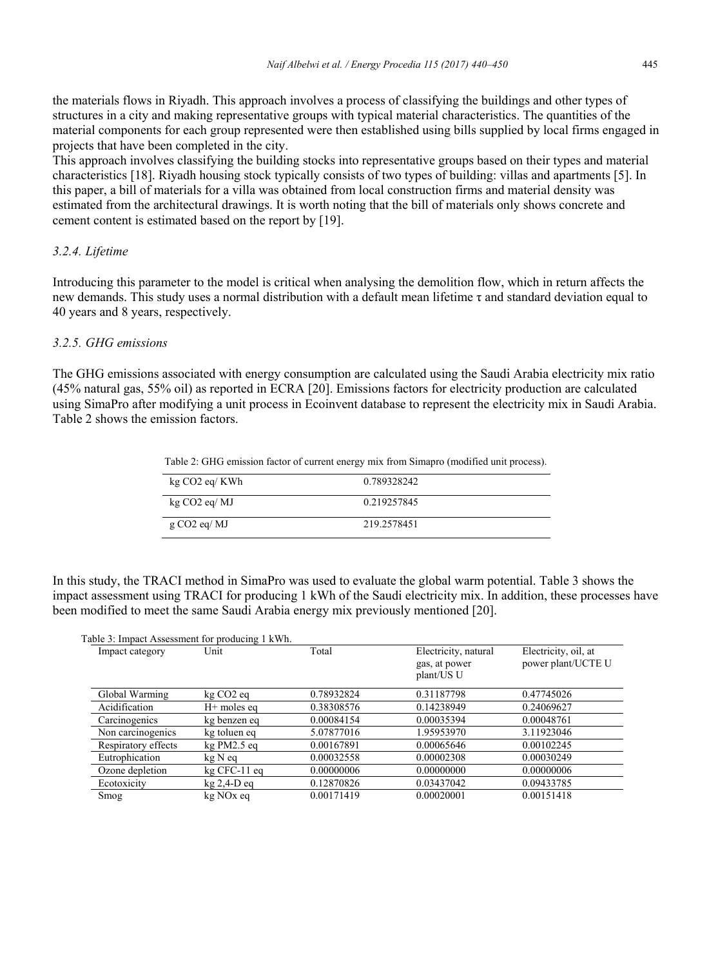the materials flows in Riyadh. This approach involves a process of classifying the buildings and other types of structures in a city and making representative groups with typical material characteristics. The quantities of the material components for each group represented were then established using bills supplied by local firms engaged in projects that have been completed in the city.

This approach involves classifying the building stocks into representative groups based on their types and material characteristics [18]. Riyadh housing stock typically consists of two types of building: villas and apartments [5]. In this paper, a bill of materials for a villa was obtained from local construction firms and material density was estimated from the architectural drawings. It is worth noting that the bill of materials only shows concrete and cement content is estimated based on the report by [19].

## *3.2.4. Lifetime*

Introducing this parameter to the model is critical when analysing the demolition flow, which in return affects the new demands. This study uses a normal distribution with a default mean lifetime τ and standard deviation equal to 40 years and 8 years, respectively.

## *3.2.5. GHG emissions*

The GHG emissions associated with energy consumption are calculated using the Saudi Arabia electricity mix ratio (45% natural gas, 55% oil) as reported in ECRA [20]. Emissions factors for electricity production are calculated using SimaPro after modifying a unit process in Ecoinvent database to represent the electricity mix in Saudi Arabia. Table 2 shows the emission factors.

Table 2: GHG emission factor of current energy mix from Simapro (modified unit process).

| kg CO2 eq/ KWh              | 0.789328242 |
|-----------------------------|-------------|
| kg CO2 eq/MJ                | 0.219257845 |
| $g \text{CO2 eq}/\text{MJ}$ | 219.2578451 |

In this study, the TRACI method in SimaPro was used to evaluate the global warm potential. Table 3 shows the impact assessment using TRACI for producing 1 kWh of the Saudi electricity mix. In addition, these processes have been modified to meet the same Saudi Arabia energy mix previously mentioned [20].

| Impact category     | Unit                  | Total      | Electricity, natural<br>gas, at power<br>plant/US U | Electricity, oil, at<br>power plant/UCTE U |
|---------------------|-----------------------|------------|-----------------------------------------------------|--------------------------------------------|
| Global Warming      | kg CO <sub>2</sub> eq | 0.78932824 | 0.31187798                                          | 0.47745026                                 |
| Acidification       | $H+$ moles eq         | 0.38308576 | 0.14238949                                          | 0.24069627                                 |
| Carcinogenics       | kg benzen eg          | 0.00084154 | 0.00035394                                          | 0.00048761                                 |
| Non carcinogenics   | kg toluen eq          | 5.07877016 | 1.95953970                                          | 3.11923046                                 |
| Respiratory effects | $kg$ PM2.5 eq         | 0.00167891 | 0.00065646                                          | 0.00102245                                 |
| Eutrophication      | kg N eq               | 0.00032558 | 0.00002308                                          | 0.00030249                                 |
| Ozone depletion     | $kg$ CFC-11 $eq$      | 0.00000006 | 0.00000000                                          | 0.00000006                                 |
| Ecotoxicity         | $kg 2.4-D eq$         | 0.12870826 | 0.03437042                                          | 0.09433785                                 |
| Smog                | kg NO <sub>x</sub> eq | 0.00171419 | 0.00020001                                          | 0.00151418                                 |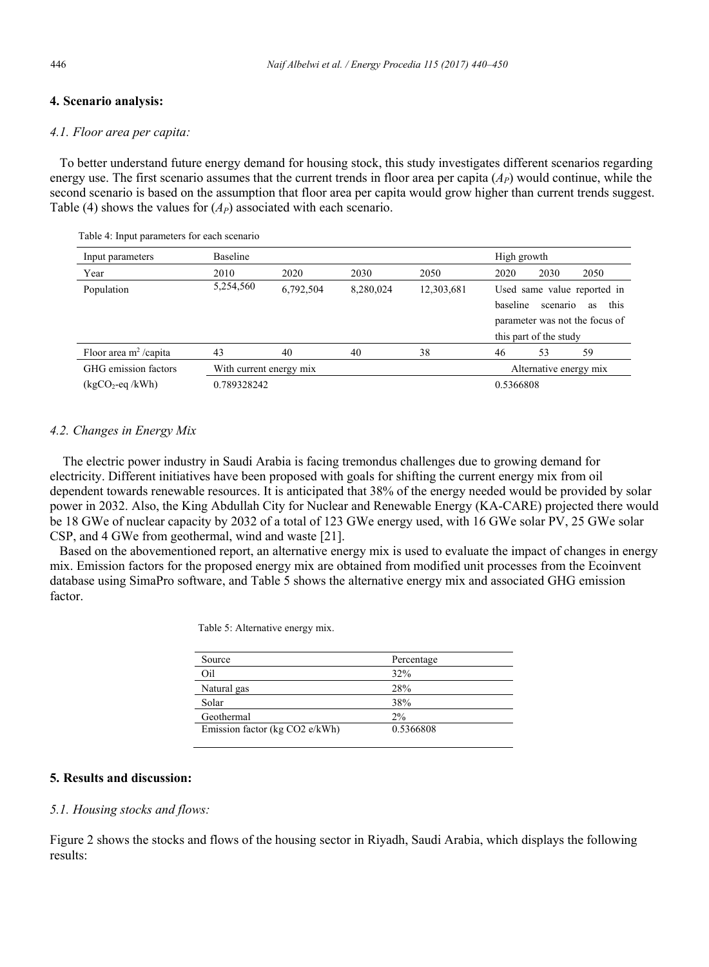### **4. Scenario analysis:**

### *4.1. Floor area per capita:*

 To better understand future energy demand for housing stock, this study investigates different scenarios regarding energy use. The first scenario assumes that the current trends in floor area per capita  $(A_P)$  would continue, while the second scenario is based on the assumption that floor area per capita would grow higher than current trends suggest. Table (4) shows the values for  $(A_P)$  associated with each scenario.

| Table 4: Input parameters for each scenario |                         |           |           |            |             |                        |                                                  |
|---------------------------------------------|-------------------------|-----------|-----------|------------|-------------|------------------------|--------------------------------------------------|
| Input parameters                            | <b>Baseline</b>         |           |           |            | High growth |                        |                                                  |
| Year                                        | 2010                    | 2020      | 2030      | 2050       | 2020        | 2030                   | 2050                                             |
| Population                                  | 5,254,560               | 6,792,504 | 8,280,024 | 12,303,681 | baseline    | scenario               | Used same value reported in<br>this<br><b>as</b> |
|                                             |                         |           |           |            |             |                        |                                                  |
|                                             |                         |           |           |            |             |                        | parameter was not the focus of                   |
|                                             |                         |           |           |            |             | this part of the study |                                                  |
| Floor area $m^2$ /capita                    | 43                      | 40        | 40        | 38         | 46          | 53                     | 59                                               |
| GHG emission factors                        | With current energy mix |           |           |            |             | Alternative energy mix |                                                  |
| $(kgCO_2$ -eq /kWh)                         | 0.789328242             |           |           |            | 0.5366808   |                        |                                                  |

## *4.2. Changes in Energy Mix*

 The electric power industry in Saudi Arabia is facing tremondus challenges due to growing demand for electricity. Different initiatives have been proposed with goals for shifting the current energy mix from oil dependent towards renewable resources. It is anticipated that 38% of the energy needed would be provided by solar power in 2032. Also, the King Abdullah City for Nuclear and Renewable Energy (KA-CARE) projected there would be 18 GWe of nuclear capacity by 2032 of a total of 123 GWe energy used, with 16 GWe solar PV, 25 GWe solar CSP, and 4 GWe from geothermal, wind and waste [21].

 Based on the abovementioned report, an alternative energy mix is used to evaluate the impact of changes in energy mix. Emission factors for the proposed energy mix are obtained from modified unit processes from the Ecoinvent database using SimaPro software, and Table 5 shows the alternative energy mix and associated GHG emission factor.

| Table 5: Alternative energy mix. |  |
|----------------------------------|--|
|----------------------------------|--|

| Source                         | Percentage |
|--------------------------------|------------|
| Oil                            | 32%        |
| Natural gas                    | 28%        |
| Solar                          | 38%        |
| Geothermal                     | $2\%$      |
| Emission factor (kg CO2 e/kWh) | 0.5366808  |

# **5. Results and discussion:**

### *5.1. Housing stocks and flows:*

Figure 2 shows the stocks and flows of the housing sector in Riyadh, Saudi Arabia, which displays the following results: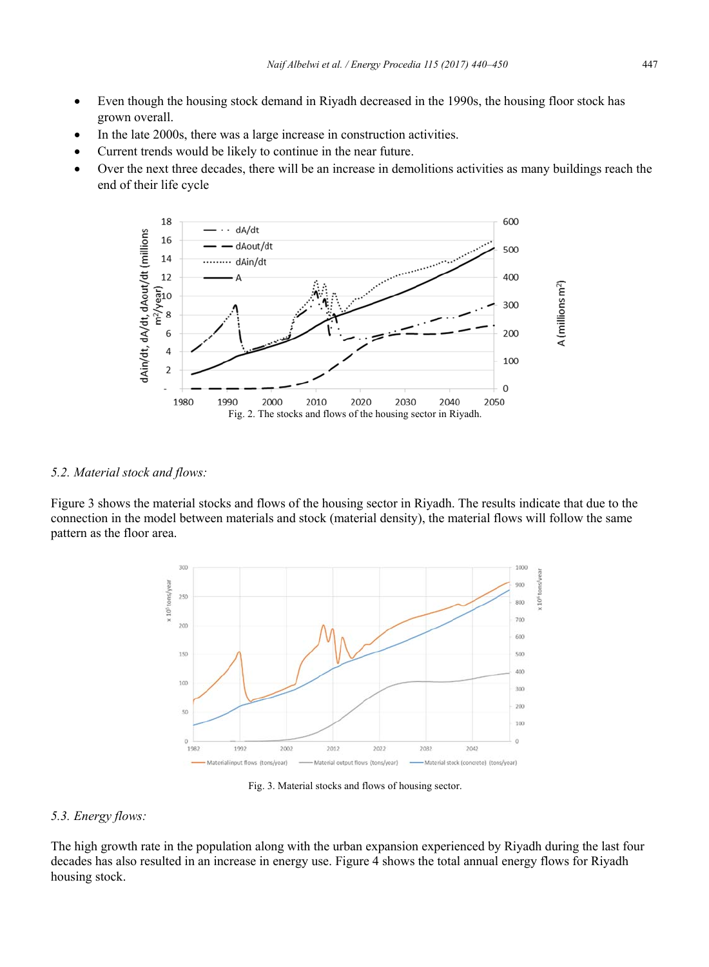- Even though the housing stock demand in Riyadh decreased in the 1990s, the housing floor stock has grown overall.
- In the late 2000s, there was a large increase in construction activities.
- Current trends would be likely to continue in the near future.
- Over the next three decades, there will be an increase in demolitions activities as many buildings reach the end of their life cycle



### *5.2. Material stock and flows:*

Figure 3 shows the material stocks and flows of the housing sector in Riyadh. The results indicate that due to the connection in the model between materials and stock (material density), the material flows will follow the same pattern as the floor area.



Fig. 3. Material stocks and flows of housing sector.

#### *5.3. Energy flows:*

The high growth rate in the population along with the urban expansion experienced by Riyadh during the last four decades has also resulted in an increase in energy use. Figure 4 shows the total annual energy flows for Riyadh housing stock.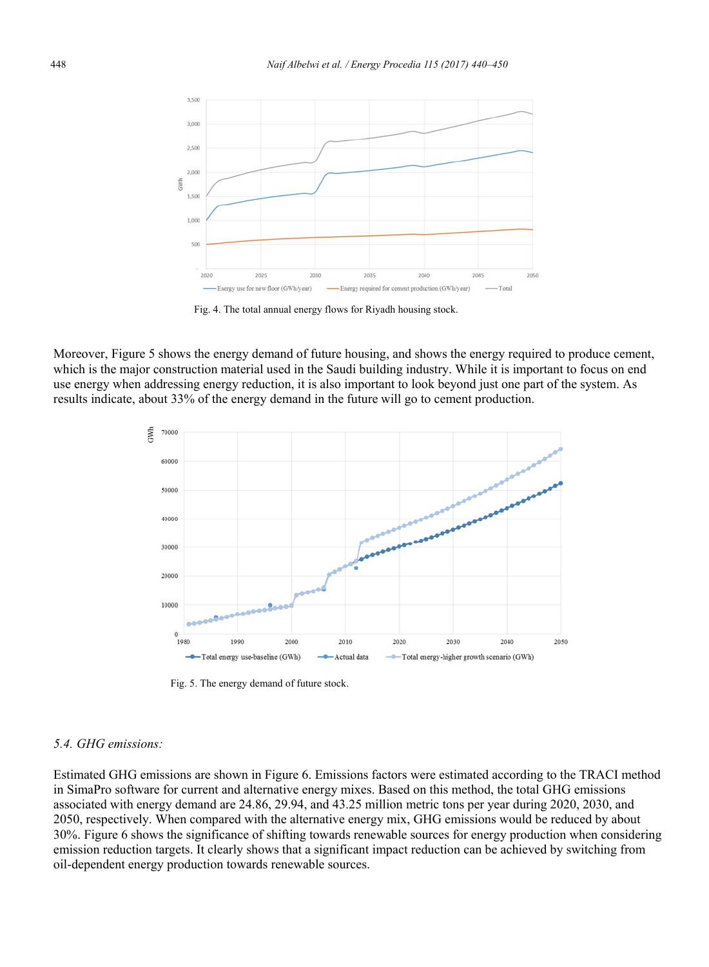

Fig. 4. The total annual energy flows for Riyadh housing stock.

Moreover, Figure 5 shows the energy demand of future housing, and shows the energy required to produce cement, which is the major construction material used in the Saudi building industry. While it is important to focus on end use energy when addressing energy reduction, it is also important to look beyond just one part of the system. As results indicate, about 33% of the energy demand in the future will go to cement production.



Fig. 5. The energy demand of future stock.

#### *5.4. GHG emissions:*

Estimated GHG emissions are shown in Figure 6. Emissions factors were estimated according to the TRACI method in SimaPro software for current and alternative energy mixes. Based on this method, the total GHG emissions associated with energy demand are 24.86, 29.94, and 43.25 million metric tons per year during 2020, 2030, and 2050, respectively. When compared with the alternative energy mix, GHG emissions would be reduced by about 30%. Figure 6 shows the significance of shifting towards renewable sources for energy production when considering emission reduction targets. It clearly shows that a significant impact reduction can be achieved by switching from oil-dependent energy production towards renewable sources.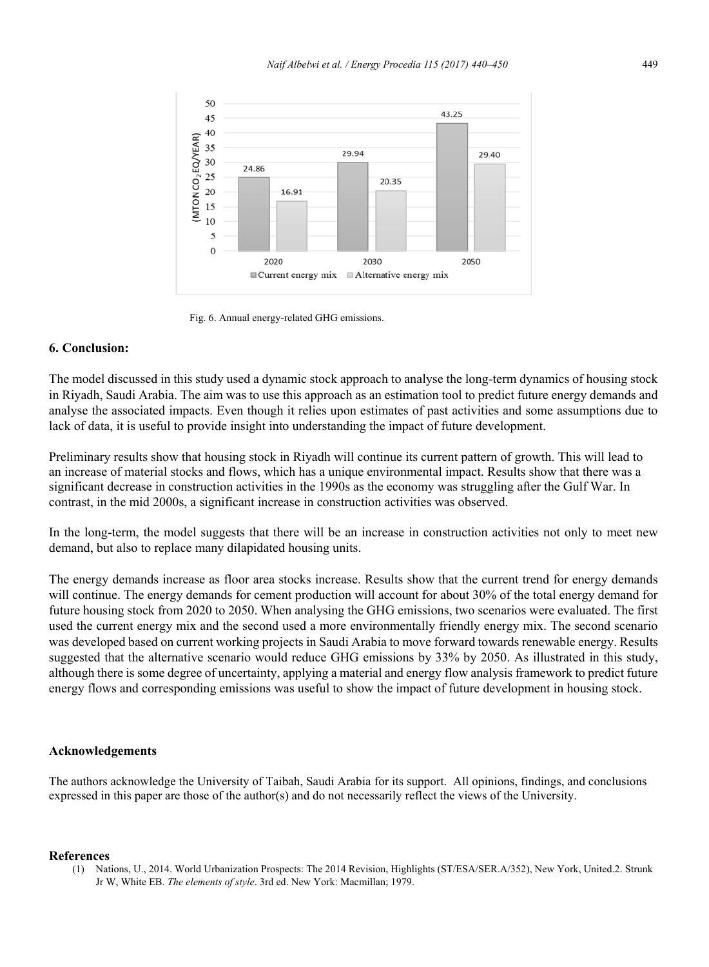

Fig. 6. Annual energy-related GHG emissions.

## **6. Conclusion:**

The model discussed in this study used a dynamic stock approach to analyse the long-term dynamics of housing stock in Riyadh, Saudi Arabia. The aim was to use this approach as an estimation tool to predict future energy demands and analyse the associated impacts. Even though it relies upon estimates of past activities and some assumptions due to lack of data, it is useful to provide insight into understanding the impact of future development.

Preliminary results show that housing stock in Riyadh will continue its current pattern of growth. This will lead to an increase of material stocks and flows, which has a unique environmental impact. Results show that there was a significant decrease in construction activities in the 1990s as the economy was struggling after the Gulf War. In contrast, in the mid 2000s, a significant increase in construction activities was observed.

In the long-term, the model suggests that there will be an increase in construction activities not only to meet new demand, but also to replace many dilapidated housing units.

The energy demands increase as floor area stocks increase. Results show that the current trend for energy demands will continue. The energy demands for cement production will account for about 30% of the total energy demand for future housing stock from 2020 to 2050. When analysing the GHG emissions, two scenarios were evaluated. The first used the current energy mix and the second used a more environmentally friendly energy mix. The second scenario was developed based on current working projects in Saudi Arabia to move forward towards renewable energy. Results suggested that the alternative scenario would reduce GHG emissions by 33% by 2050. As illustrated in this study, although there is some degree of uncertainty, applying a material and energy flow analysis framework to predict future energy flows and corresponding emissions was useful to show the impact of future development in housing stock.

### **Acknowledgements**

The authors acknowledge the University of Taibah, Saudi Arabia for its support. All opinions, findings, and conclusions expressed in this paper are those of the author(s) and do not necessarily reflect the views of the University.

#### **References**

(1) Nations, U., 2014. World Urbanization Prospects: The 2014 Revision, Highlights (ST/ESA/SER.A/352), New York, United.2. Strunk Jr W, White EB. *The elements of style*. 3rd ed. New York: Macmillan; 1979.